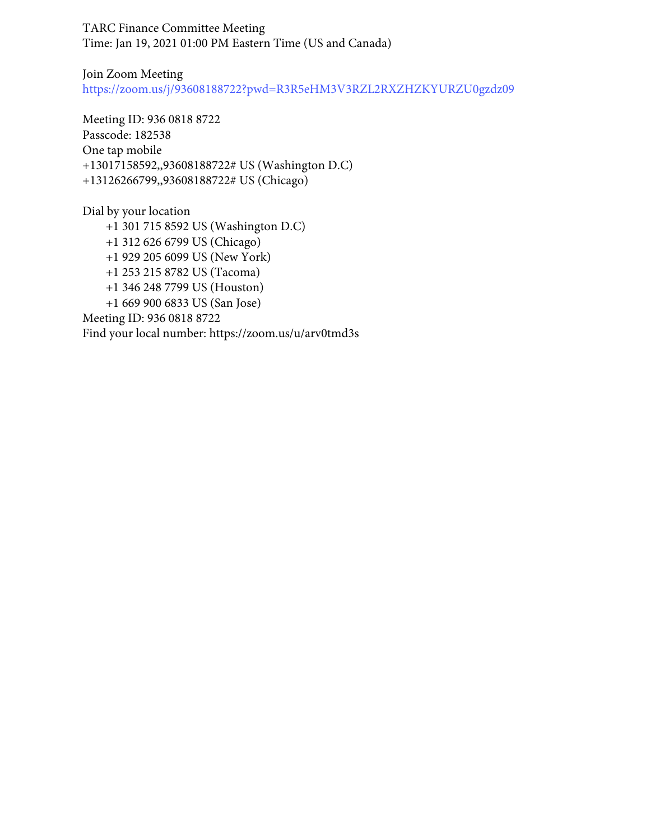TARC Finance Committee Meeting Time: Jan 19, 2021 01:00 PM Eastern Time (US and Canada)

Join Zoom Meeting <https://zoom.us/j/93608188722?pwd=R3R5eHM3V3RZL2RXZHZKYURZU0gzdz09>

Meeting ID: 936 0818 8722 Passcode: 182538 One tap mobile +13017158592,,93608188722# US (Washington D.C) +13126266799,,93608188722# US (Chicago)

Dial by your location +1 301 715 8592 US (Washington D.C) +1 312 626 6799 US (Chicago) +1 929 205 6099 US (New York) +1 253 215 8782 US (Tacoma) +1 346 248 7799 US (Houston) +1 669 900 6833 US (San Jose) Meeting ID: 936 0818 8722 Find your local number: https://zoom.us/u/arv0tmd3s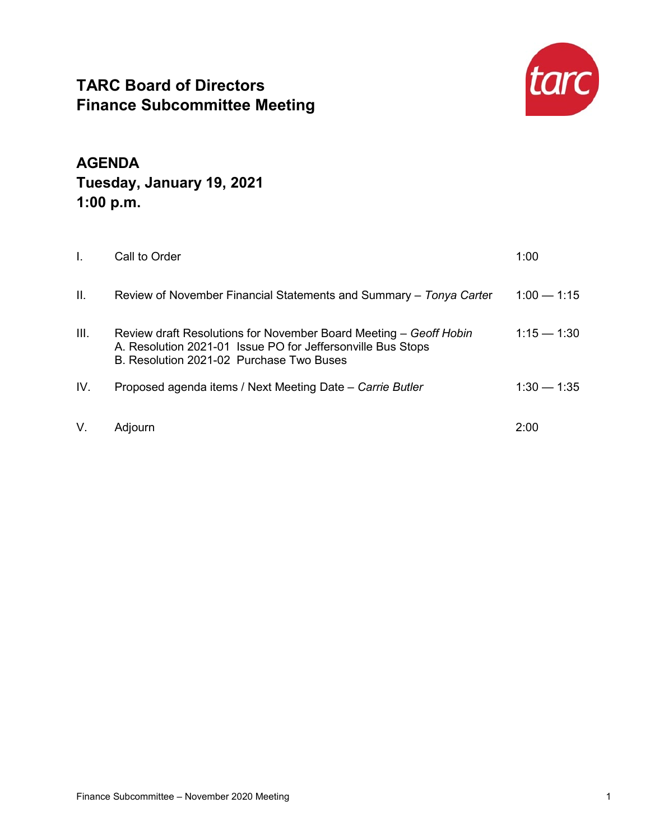# **TARC Board of Directors Finance Subcommittee Meeting**



**AGENDA Tuesday, January 19, 2021 1:00 p.m.** 

| L.   | Call to Order                                                                                                                                                                | 1:00          |
|------|------------------------------------------------------------------------------------------------------------------------------------------------------------------------------|---------------|
| Ш.   | Review of November Financial Statements and Summary – Tonya Carter                                                                                                           | $1:00 - 1:15$ |
| III. | Review draft Resolutions for November Board Meeting - Geoff Hobin<br>A. Resolution 2021-01 Issue PO for Jeffersonville Bus Stops<br>B. Resolution 2021-02 Purchase Two Buses | $1:15 - 1:30$ |
| IV.  | Proposed agenda items / Next Meeting Date - Carrie Butler                                                                                                                    | $1:30 - 1:35$ |
| V.   | Adjourn                                                                                                                                                                      | 2:00          |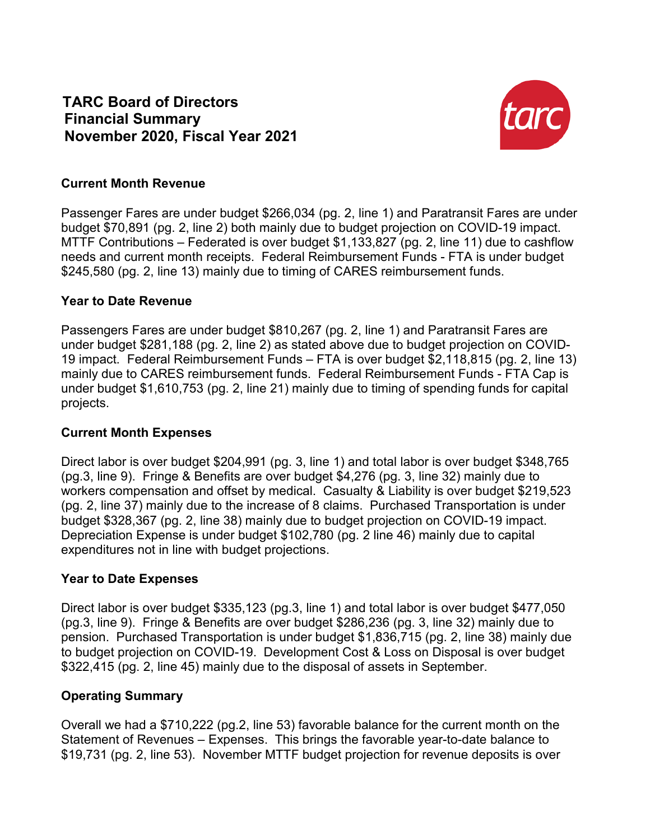# **TARC Board of Directors Financial Summary November 2020, Fiscal Year 2021**



## **Current Month Revenue**

Passenger Fares are under budget \$266,034 (pg. 2, line 1) and Paratransit Fares are under budget \$70,891 (pg. 2, line 2) both mainly due to budget projection on COVID-19 impact. MTTF Contributions – Federated is over budget \$1,133,827 (pg. 2, line 11) due to cashflow needs and current month receipts. Federal Reimbursement Funds - FTA is under budget \$245,580 (pg. 2, line 13) mainly due to timing of CARES reimbursement funds.

### **Year to Date Revenue**

Passengers Fares are under budget \$810,267 (pg. 2, line 1) and Paratransit Fares are under budget \$281,188 (pg. 2, line 2) as stated above due to budget projection on COVID-19 impact. Federal Reimbursement Funds – FTA is over budget \$2,118,815 (pg. 2, line 13) mainly due to CARES reimbursement funds. Federal Reimbursement Funds - FTA Cap is under budget \$1,610,753 (pg. 2, line 21) mainly due to timing of spending funds for capital projects.

# **Current Month Expenses**

Direct labor is over budget \$204,991 (pg. 3, line 1) and total labor is over budget \$348,765 (pg.3, line 9). Fringe & Benefits are over budget \$4,276 (pg. 3, line 32) mainly due to workers compensation and offset by medical. Casualty & Liability is over budget \$219,523 (pg. 2, line 37) mainly due to the increase of 8 claims. Purchased Transportation is under budget \$328,367 (pg. 2, line 38) mainly due to budget projection on COVID-19 impact. Depreciation Expense is under budget \$102,780 (pg. 2 line 46) mainly due to capital expenditures not in line with budget projections.

# **Year to Date Expenses**

Direct labor is over budget \$335,123 (pg.3, line 1) and total labor is over budget \$477,050 (pg.3, line 9). Fringe & Benefits are over budget \$286,236 (pg. 3, line 32) mainly due to pension. Purchased Transportation is under budget \$1,836,715 (pg. 2, line 38) mainly due to budget projection on COVID-19. Development Cost & Loss on Disposal is over budget \$322,415 (pg. 2, line 45) mainly due to the disposal of assets in September.

# **Operating Summary**

Overall we had a \$710,222 (pg.2, line 53) favorable balance for the current month on the Statement of Revenues – Expenses. This brings the favorable year-to-date balance to \$19,731 (pg. 2, line 53). November MTTF budget projection for revenue deposits is over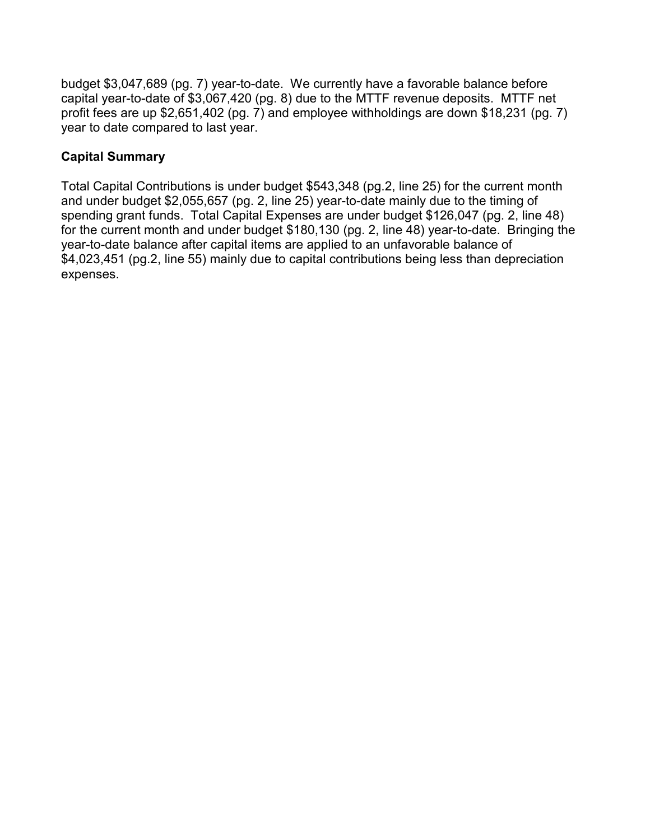budget \$3,047,689 (pg. 7) year-to-date. We currently have a favorable balance before capital year-to-date of \$3,067,420 (pg. 8) due to the MTTF revenue deposits. MTTF net profit fees are up \$2,651,402 (pg. 7) and employee withholdings are down \$18,231 (pg. 7) year to date compared to last year.

# **Capital Summary**

Total Capital Contributions is under budget \$543,348 (pg.2, line 25) for the current month and under budget \$2,055,657 (pg. 2, line 25) year-to-date mainly due to the timing of spending grant funds. Total Capital Expenses are under budget \$126,047 (pg. 2, line 48) for the current month and under budget \$180,130 (pg. 2, line 48) year-to-date. Bringing the year-to-date balance after capital items are applied to an unfavorable balance of \$4,023,451 (pg.2, line 55) mainly due to capital contributions being less than depreciation expenses.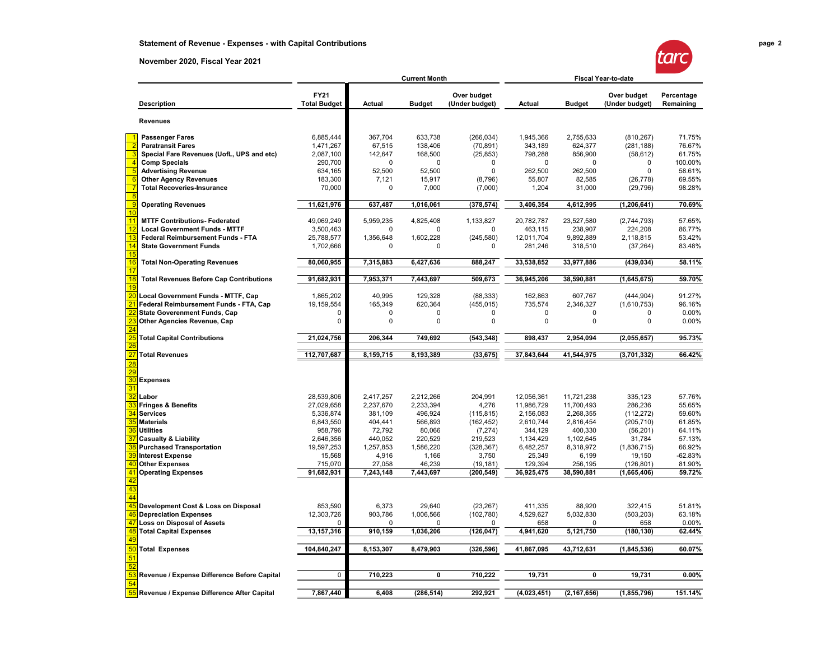#### **November 2020, Fiscal Year 2021**

| Т | ۰. |  |
|---|----|--|
|   |    |  |

|                |                                                                    | <b>Current Month</b>               |                      |                      | <b>Fiscal Year-to-date</b>    |                        |                        |                               |                         |
|----------------|--------------------------------------------------------------------|------------------------------------|----------------------|----------------------|-------------------------------|------------------------|------------------------|-------------------------------|-------------------------|
|                | <b>Description</b>                                                 | <b>FY21</b><br><b>Total Budget</b> | <b>Actual</b>        | <b>Budget</b>        | Over budget<br>(Under budget) | Actual                 | <b>Budget</b>          | Over budget<br>(Under budget) | Percentage<br>Remaining |
|                | <b>Revenues</b>                                                    |                                    |                      |                      |                               |                        |                        |                               |                         |
|                | <b>Passenger Fares</b>                                             | 6,885,444                          | 367,704              | 633,738              | (266, 034)                    | 1,945,366              | 2,755,633              | (810, 267)                    | 71.75%                  |
|                | <b>Paratransit Fares</b>                                           | 1,471,267                          | 67,515               | 138,406              | (70, 891)                     | 343,189                | 624,377                | (281, 188)                    | 76.67%                  |
|                | Special Fare Revenues (UofL, UPS and etc)                          | 2,087,100                          | 142,647              | 168,500              | (25, 853)                     | 798,288                | 856,900                | (58, 612)                     | 61.75%                  |
|                | <b>Comp Specials</b>                                               | 290,700                            | 0                    | $\Omega$             | 0                             | 0                      | 0                      | 0                             | 100.00%                 |
|                | <b>Advertising Revenue</b>                                         | 634,165                            | 52,500               | 52,500               | 0                             | 262,500                | 262,500                | $\Omega$                      | 58.61%                  |
|                | <b>Other Agency Revenues</b>                                       | 183,300                            | 7,121                | 15,917               | (8,796)                       | 55,807                 | 82,585                 | (26, 778)                     | 69.55%                  |
| $\overline{8}$ | <b>Total Recoveries-Insurance</b>                                  | 70,000                             | 0                    | 7,000                | (7,000)                       | 1,204                  | 31,000                 | (29, 796)                     | 98.28%                  |
|                | <b>Operating Revenues</b>                                          | 11,621,976                         | 637,487              | 1,016,061            | (378, 574)                    | 3,406,354              | 4,612,995              | (1, 206, 641)                 | 70.69%                  |
| 10<br>11       | <b>MTTF Contributions- Federated</b>                               | 49,069,249                         | 5,959,235            | 4,825,408            | 1,133,827                     | 20,782,787             | 23,527,580             | (2,744,793)                   | 57.65%                  |
| 12             | <b>Local Government Funds - MTTF</b>                               | 3,500,463                          | 0                    | O                    | O                             | 463,115                | 238,907                | 224,208                       | 86.77%                  |
| 13             | <b>Federal Reimbursement Funds - FTA</b>                           | 25,788,577                         | 1,356,648            | 1,602,228            | (245, 580)                    | 12,011,704             | 9,892,889              | 2,118,815                     | 53.42%                  |
| 14<br>15       | <b>State Government Funds</b>                                      | 1,702,666                          | 0                    | 0                    | 0                             | 281,246                | 318,510                | (37, 264)                     | 83.48%                  |
| 16             | <b>Total Non-Operating Revenues</b>                                | 80,060,955                         | 7,315,883            | 6,427,636            | 888,247                       | 33,538,852             | 33,977,886             | (439, 034)                    | 58.11%                  |
| 17<br>18       | <b>Total Revenues Before Cap Contributions</b>                     | 91,682,931                         | 7,953,371            | 7,443,697            | 509,673                       | 36,945,206             | 38,590,881             | (1,645,675)                   | 59.70%                  |
| 19             |                                                                    |                                    |                      |                      |                               |                        |                        |                               |                         |
|                | Local Government Funds - MTTF, Cap                                 | 1,865,202                          | 40,995               | 129,328              | (88, 333)                     | 162,863                | 607,767                | (444, 904)                    | 91.27%                  |
|                | Federal Reimbursement Funds - FTA, Cap                             | 19,159,554                         | 165,349              | 620,364              | (455, 015)                    | 735,574                | 2,346,327              | (1,610,753)                   | 96.16%                  |
|                | <b>State Goverenment Funds, Cap</b>                                | 0                                  | 0                    | $\mathbf 0$          | 0                             | $\mathbf 0$            | $\mathbf 0$            | $\Omega$                      | 0.00%                   |
|                | Other Agencies Revenue, Cap                                        | $\Omega$                           | 0                    | 0                    | 0                             | $\mathbf 0$            | 0                      | $\Omega$                      | 0.00%                   |
|                | <b>Total Capital Contributions</b>                                 | 21,024,756                         | 206,344              | 749,692              | (543, 348)                    | 898,437                | 2,954,094              | (2,055,657)                   | 95.73%                  |
|                | <b>Total Revenues</b>                                              | 112,707,687                        | 8,159,715            | 8,193,389            | (33, 675)                     | 37,843,644             | 41,544,975             | (3,701,332)                   | 66.42%                  |
|                |                                                                    |                                    |                      |                      |                               |                        |                        |                               |                         |
| 30             | <b>Expenses</b>                                                    |                                    |                      |                      |                               |                        |                        |                               |                         |
| 31             |                                                                    |                                    |                      |                      |                               |                        |                        |                               |                         |
|                | Labor                                                              | 28,539,806                         | 2,417,257            | 2,212,266            | 204,991                       | 12,056,361             | 11,721,238             | 335,123                       | 57.76%                  |
|                | <b>Fringes &amp; Benefits</b>                                      | 27,029,658                         | 2,237,670            | 2,233,394            | 4,276                         | 11,986,729             | 11,700,493             | 286,236                       | 55.65%                  |
|                | <b>Services</b>                                                    | 5,336,874                          | 381,109              | 496,924              | (115, 815)                    | 2,156,083              | 2,268,355              | (112, 272)                    | 59.60%                  |
| 35             | <b>Materials</b>                                                   | 6,843,550                          | 404,441              | 566,893              | (162, 452)                    | 2,610,744              | 2,816,454              | (205, 710)                    | 61.85%                  |
| 36             | <b>Utilities</b>                                                   | 958,796                            | 72,792               | 80,066               | (7, 274)                      | 344,129                | 400,330                | (56, 201)                     | 64.11%                  |
|                | <b>Casualty &amp; Liability</b><br><b>Purchased Transportation</b> | 2,646,356<br>19,597,253            | 440,052<br>1,257,853 | 220,529<br>1,586,220 | 219,523                       | 1,134,429<br>6,482,257 | 1,102,645<br>8,318,972 | 31,784<br>(1,836,715)         | 57.13%<br>66.92%        |
|                |                                                                    |                                    |                      |                      | (328, 367)                    |                        |                        |                               |                         |
| 40             | <b>Interest Expense</b><br><b>Other Expenses</b>                   | 15,568<br>715,070                  | 4,916<br>27,058      | 1,166<br>46,239      | 3,750                         | 25,349<br>129,394      | 6,199<br>256,195       | 19,150<br>(126, 801)          | $-62.83%$<br>81.90%     |
| 41             | <b>Operating Expenses</b>                                          | 91,682,931                         | 7,243,148            | 7,443,697            | (19, 181)<br>(200,549)        | 36,925,475             | 38,590,881             | (1,665,406)                   | 59.72%                  |
|                |                                                                    |                                    |                      |                      |                               |                        |                        |                               |                         |
| 43             |                                                                    |                                    |                      |                      |                               |                        |                        |                               |                         |
|                |                                                                    |                                    |                      |                      |                               |                        |                        |                               |                         |
|                | Development Cost & Loss on Disposal                                | 853,590                            | 6,373                | 29,640               | (23, 267)                     | 411,335                | 88,920                 | 322,415                       | 51.81%                  |
| 46             | <b>Depreciation Expenses</b>                                       | 12,303,726                         | 903,786              | 1,006,566            | (102, 780)                    | 4,529,627              | 5,032,830              | (503, 203)                    | 63.18%                  |
|                | <b>Loss on Disposal of Assets</b>                                  | $\Omega$                           | 0                    | 0                    | 0                             | 658                    | $\Omega$               | 658                           | 0.00%                   |
| 48             | <b>Total Capital Expenses</b>                                      | 13, 157, 316                       | 910,159              | 1,036,206            | (126, 047)                    | 4,941,620              | 5,121,750              | (180, 130)                    | 62.44%                  |
| 50             | <b>Total Expenses</b>                                              | 104,840,247                        | 8,153,307            | 8,479,903            | (326, 596)                    | 41,867,095             | 43,712,631             | (1, 845, 536)                 | 60.07%                  |
|                |                                                                    |                                    |                      |                      |                               |                        |                        |                               |                         |
|                | Revenue / Expense Difference Before Capital                        | 0                                  | 710,223              | 0                    | 710,222                       | 19,731                 | 0                      | 19,731                        | 0.00%                   |
|                | Revenue / Expense Difference After Capital                         | 7,867,440                          | 6,408                | (286, 514)           | 292,921                       | (4,023,451)            | (2, 167, 656)          | (1, 855, 796)                 | 151.14%                 |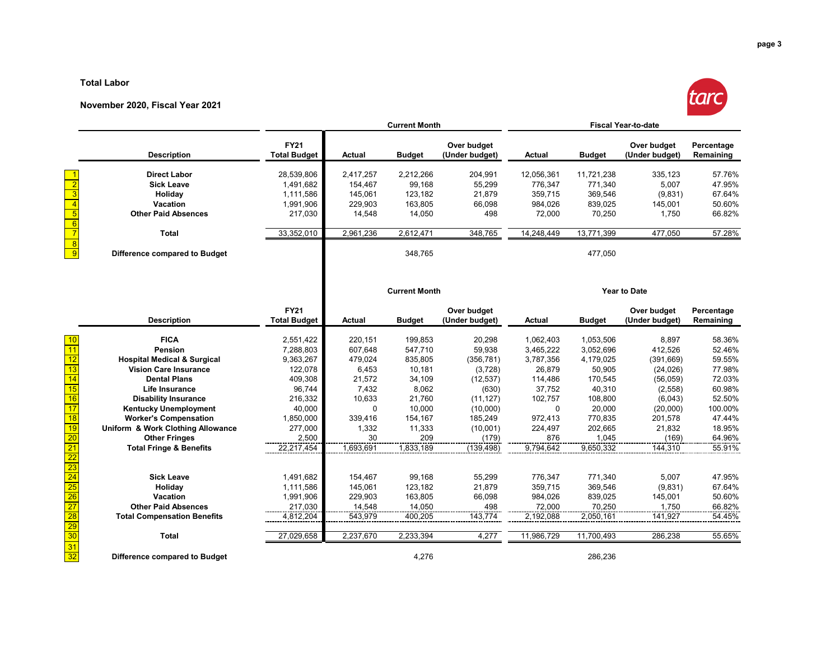#### **Total Labor**

#### **November 2020, Fiscal Year 2021**



|                                                       |                                        |                                    | <b>Current Month</b> |               |                               |               |                     | <b>Fiscal Year-to-date</b>    |                         |
|-------------------------------------------------------|----------------------------------------|------------------------------------|----------------------|---------------|-------------------------------|---------------|---------------------|-------------------------------|-------------------------|
|                                                       | <b>Description</b>                     | <b>FY21</b><br><b>Total Budget</b> | <b>Actual</b>        | <b>Budget</b> | Over budget<br>(Under budget) | <b>Actual</b> | <b>Budget</b>       | Over budget<br>(Under budget) | Percentage<br>Remaining |
|                                                       | <b>Direct Labor</b>                    | 28,539,806                         | 2,417,257            | 2,212,266     | 204,991                       | 12,056,361    | 11,721,238          | 335,123                       | 57.76%                  |
|                                                       | <b>Sick Leave</b>                      | 1,491,682                          | 154,467              | 99,168        | 55,299                        | 776,347       | 771,340             | 5,007                         | 47.95%                  |
|                                                       | Holiday                                | 1,111,586                          | 145,061              | 123,182       | 21,879                        | 359,715       | 369,546             | (9,831)                       | 67.64%                  |
|                                                       | Vacation                               | 1,991,906                          | 229,903              | 163,805       | 66,098                        | 984,026       | 839,025             | 145,001                       | 50.60%                  |
|                                                       | <b>Other Paid Absences</b>             | 217,030                            | 14,548               | 14,050        | 498                           | 72,000        | 70,250              | 1,750                         | 66.82%                  |
|                                                       |                                        |                                    |                      |               |                               |               |                     |                               |                         |
|                                                       | <b>Total</b>                           | 33,352,010                         | 2,961,236            | 2,612,471     | 348,765                       | 14,248,449    | 13,771,399          | 477,050                       | 57.28%                  |
|                                                       | Difference compared to Budget          |                                    |                      | 348,765       |                               |               | 477,050             |                               |                         |
|                                                       |                                        |                                    | <b>Current Month</b> |               |                               |               | <b>Year to Date</b> |                               |                         |
|                                                       | <b>Description</b>                     | <b>FY21</b><br><b>Total Budget</b> | <b>Actual</b>        | <b>Budget</b> | Over budget<br>(Under budget) | <b>Actual</b> | <b>Budget</b>       | Over budget<br>(Under budget) | Percentage<br>Remaining |
|                                                       | <b>FICA</b>                            | 2,551,422                          | 220,151              | 199,853       | 20,298                        | 1,062,403     | 1,053,506           | 8,897                         | 58.36%                  |
| 11                                                    | Pension                                | 7,288,803                          | 607,648              | 547,710       | 59,938                        | 3,465,222     | 3,052,696           | 412,526                       | 52.46%                  |
| 12                                                    | <b>Hospital Medical &amp; Surgical</b> | 9,363,267                          | 479,024              | 835,805       | (356, 781)                    | 3,787,356     | 4,179,025           | (391, 669)                    | 59.55%                  |
| 13                                                    | <b>Vision Care Insurance</b>           | 122,078                            | 6,453                | 10,181        | (3,728)                       | 26,879        | 50,905              | (24, 026)                     | 77.98%                  |
| 14                                                    | <b>Dental Plans</b>                    | 409,308                            | 21,572               | 34,109        | (12, 537)                     | 114,486       | 170,545             | (56, 059)                     | 72.03%                  |
| 15                                                    | <b>Life Insurance</b>                  | 96,744                             | 7,432                | 8,062         | (630)                         | 37,752        | 40,310              | (2, 558)                      | 60.98%                  |
| 16                                                    | <b>Disability Insurance</b>            | 216,332                            | 10,633               | 21,760        | (11, 127)                     | 102,757       | 108,800             | (6,043)                       | 52.50%                  |
| 17                                                    | <b>Kentucky Unemployment</b>           | 40,000                             | $\Omega$             | 10,000        | (10,000)                      | $\Omega$      | 20,000              | (20,000)                      | 100.00%                 |
| 18                                                    | <b>Worker's Compensation</b>           | 1,850,000                          | 339,416              | 154,167       | 185,249                       | 972,413       | 770,835             | 201,578                       | 47.44%                  |
| 19                                                    | Uniform & Work Clothing Allowance      | 277,000                            | 1,332                | 11,333        | (10,001)                      | 224,497       | 202,665             | 21,832                        | 18.95%                  |
| $\overline{20}$                                       | <b>Other Fringes</b>                   | 2,500                              | 30                   | 209           | (179)                         | 876           | 1,045               | (169)                         | 64.96%                  |
| $\overline{21}$                                       | <b>Total Fringe &amp; Benefits</b>     | 22,217,454                         | 1,693,691            | 1,833,189     | (139, 498)                    | 9,794,642     | 9,650,332           | 144,310                       | 55.91%                  |
| $\overline{22}$                                       |                                        |                                    |                      |               |                               |               |                     |                               |                         |
| $\overline{23}$                                       |                                        |                                    |                      |               |                               |               |                     |                               |                         |
| $\overline{24}$                                       | <b>Sick Leave</b>                      | 1,491,682                          | 154,467              | 99,168        | 55,299                        | 776,347       | 771,340             | 5,007                         | 47.95%                  |
| $\begin{array}{r} \hline 25 \\ \hline 26 \end{array}$ | Holiday                                | 1,111,586                          | 145,061              | 123,182       | 21,879                        | 359,715       | 369,546             | (9,831)                       | 67.64%                  |
|                                                       | Vacation                               | 1,991,906                          | 229,903              | 163,805       | 66,098                        | 984,026       | 839,025             | 145,001                       | 50.60%                  |
| $\overline{27}$                                       | <b>Other Paid Absences</b>             | 217,030                            | 14,548               | 14,050        | 498                           | 72,000        | 70,250              | 1,750                         | 66.82%                  |
| $\overline{28}$                                       | <b>Total Compensation Benefits</b>     | 4,812,204                          | 543,979              | 400,205       | 143,774                       | 2,192,088     | 2,050,161           | 141,927                       | 54.45%                  |
| $\frac{29}{30}$                                       | <b>Total</b>                           | 27,029,658                         | 2,237,670            | 2,233,394     | 4.277                         | 11,986,729    | 11,700,493          | 286,238                       | 55.65%                  |

Difference compared to Budget **286,236** 286,236

 $\begin{array}{c|c}\n\hline\n31 \\
\hline\n32\n\end{array}$ 

**Total** 27,029,658 2,237,670 2,233,394 4,277 11,986,729 11,700,493 286,238 55.65%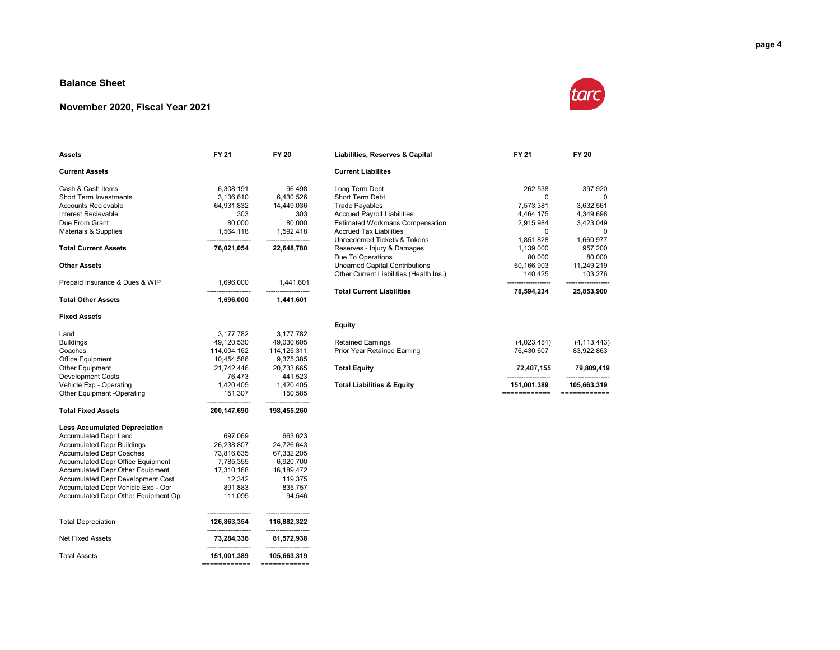#### **Balance Sheet**

#### **November 2020, Fiscal Year 2021**



| <b>Assets</b>                            | FY 21                               | <b>FY 20</b>                      | Liabilities, Reserves & Capital         | FY 21        | <b>FY 20</b>  |
|------------------------------------------|-------------------------------------|-----------------------------------|-----------------------------------------|--------------|---------------|
| <b>Current Assets</b>                    |                                     |                                   | <b>Current Liabilites</b>               |              |               |
| Cash & Cash Items                        | 6,308,191                           | 96,498                            | Long Term Debt                          | 262.538      | 397,920       |
| Short Term Investments                   | 3,136,610                           | 6,430,526                         | Short Term Debt                         | 0            | $\Omega$      |
| Accounts Recievable                      | 64,931,832                          | 14,449,036                        | <b>Trade Payables</b>                   | 7,573,381    | 3,632,561     |
| Interest Recievable                      | 303                                 | 303                               | <b>Accrued Payroll Liabilities</b>      | 4,464,175    | 4,349,698     |
| Due From Grant                           | 80,000                              | 80,000                            | <b>Estimated Workmans Compensation</b>  | 2,915,984    | 3,423,049     |
| Materials & Supplies                     | 1,564,118                           | 1,592,418                         | <b>Accrued Tax Liabilities</b>          | 0            | $\mathbf 0$   |
|                                          |                                     |                                   | Unreedemed Tickets & Tokens             | 1,851,828    | 1,660,977     |
| <b>Total Current Assets</b>              | 76,021,054                          | 22,648,780                        | Reserves - Injury & Damages             | 1,139,000    | 957,200       |
|                                          |                                     |                                   | Due To Operations                       | 80,000       | 80,000        |
| <b>Other Assets</b>                      |                                     |                                   | <b>Unearned Capital Contributions</b>   | 60,166,903   | 11,249,219    |
|                                          |                                     |                                   | Other Current Liabilities (Health Ins.) | 140,425      | 103,276       |
| Prepaid Insurance & Dues & WIP           | 1,696,000                           | 1,441,601                         |                                         |              |               |
|                                          |                                     |                                   | <b>Total Current Liabilities</b>        | 78,594,234   | 25,853,900    |
| <b>Total Other Assets</b>                | 1,696,000                           | 1,441,601                         |                                         |              |               |
| <b>Fixed Assets</b>                      |                                     |                                   |                                         |              |               |
|                                          |                                     |                                   | <b>Equity</b>                           |              |               |
| Land                                     | 3,177,782                           | 3,177,782                         |                                         |              |               |
| <b>Buildings</b>                         | 49,120,530                          | 49,030,605                        | <b>Retained Earnings</b>                | (4,023,451)  | (4, 113, 443) |
| Coaches                                  | 114,004,162                         | 114, 125, 311                     | Prior Year Retained Earning             | 76,430,607   | 83,922,863    |
| Office Equipment                         | 10,454,586                          | 9,375,385                         |                                         |              |               |
| Other Equipment                          | 21,742,446                          | 20,733,665                        | <b>Total Equity</b>                     | 72,407,155   | 79,809,419    |
| <b>Development Costs</b>                 | 76,473                              | 441,523                           |                                         |              |               |
| Vehicle Exp - Operating                  | 1,420,405                           | 1,420,405                         | <b>Total Liabilities &amp; Equity</b>   | 151,001,389  | 105,663,319   |
| Other Equipment -Operating               | 151,307                             | 150,585                           |                                         | ============ | ============  |
| <b>Total Fixed Assets</b>                | 200,147,690                         | 198,455,260                       |                                         |              |               |
| <b>Less Accumulated Depreciation</b>     |                                     |                                   |                                         |              |               |
| <b>Accumulated Depr Land</b>             | 697,069                             | 663,623                           |                                         |              |               |
| <b>Accumulated Depr Buildings</b>        | 26,238,807                          | 24,726,643                        |                                         |              |               |
| <b>Accumulated Depr Coaches</b>          | 73,816,635                          | 67,332,205                        |                                         |              |               |
| Accumulated Depr Office Equipment        | 7,785,355                           | 6,920,700                         |                                         |              |               |
| Accumulated Depr Other Equipment         | 17,310,168                          | 16,189,472                        |                                         |              |               |
| <b>Accumulated Depr Development Cost</b> | 12,342                              | 119,375                           |                                         |              |               |
| Accumulated Depr Vehicle Exp - Opr       | 891,883                             | 835,757                           |                                         |              |               |
| Accumulated Depr Other Equipment Op      | 111,095                             | 94,546                            |                                         |              |               |
| <b>Total Depreciation</b>                | 126,863,354                         | 116,882,322                       |                                         |              |               |
| <b>Net Fixed Assets</b>                  | ---------------------<br>73,284,336 | -------------------<br>81,572,938 |                                         |              |               |
| <b>Total Assets</b>                      | 151,001,389                         | 105,663,319                       |                                         |              |               |
|                                          | ============                        | ============                      |                                         |              |               |

|            |            | <b>Current Liabilites</b>               |            |            |
|------------|------------|-----------------------------------------|------------|------------|
| 6.308.191  | 96.498     | Long Term Debt                          | 262.538    | 397.920    |
| 3.136.610  | 6.430.526  | Short Term Debt                         | 0          | 0          |
| 64.931.832 | 14.449.036 | <b>Trade Payables</b>                   | 7.573.381  | 3,632,561  |
| 303        | 303        | <b>Accrued Payroll Liabilities</b>      | 4.464.175  | 4.349.698  |
| 80,000     | 80,000     | <b>Estimated Workmans Compensation</b>  | 2.915.984  | 3.423.049  |
| 1.564.118  | 1.592.418  | <b>Accrued Tax Liabilities</b>          | 0          | 0          |
|            |            | Unreedemed Tickets & Tokens             | 1.851.828  | 1,660,977  |
| 76,021,054 | 22.648.780 | Reserves - Iniury & Damages             | 1.139.000  | 957.200    |
|            |            | Due To Operations                       | 80,000     | 80.000     |
|            |            | <b>Unearned Capital Contributions</b>   | 60.166.903 | 11,249,219 |
|            |            | Other Current Liabilities (Health Ins.) | 140.425    | 103.276    |
| 1,696,000  | 1.441.601  |                                         |            |            |
|            |            | <b>Total Current Liabilities</b>        | 78.594.234 | 25.853.900 |

| Retained Earnings<br>(4,023,451)<br>(4, 113, 443)<br>Prior Year Retained Earning<br>83.922.863<br>76.430.607<br>Total Equitv<br>72.407.155<br>79.809.419<br><b>Total Liabilities &amp; Equity</b><br>151,001,389<br>105,663,319 |
|---------------------------------------------------------------------------------------------------------------------------------------------------------------------------------------------------------------------------------|
|                                                                                                                                                                                                                                 |
|                                                                                                                                                                                                                                 |
|                                                                                                                                                                                                                                 |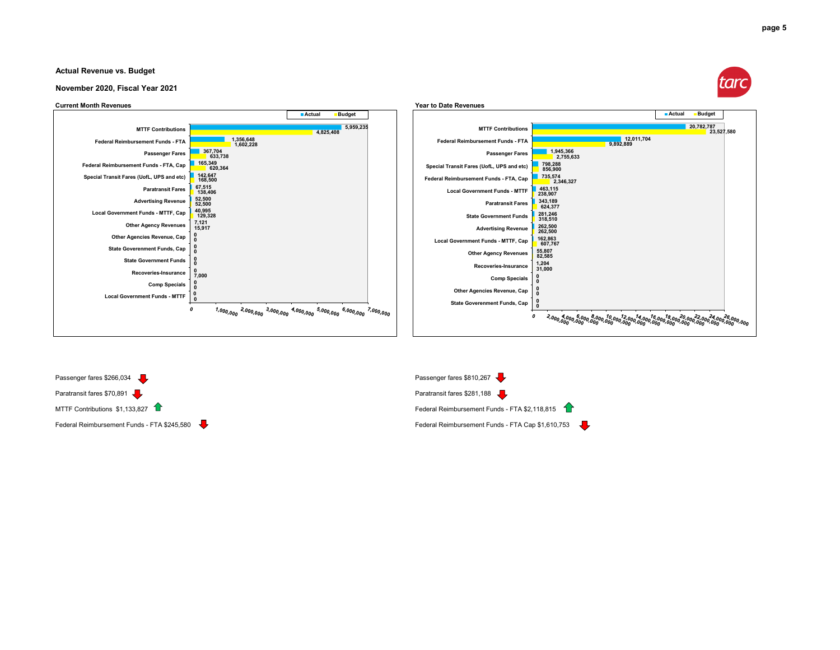

#### **Actual Revenue vs. Budget**

#### **November 2020, Fiscal Year 2021**







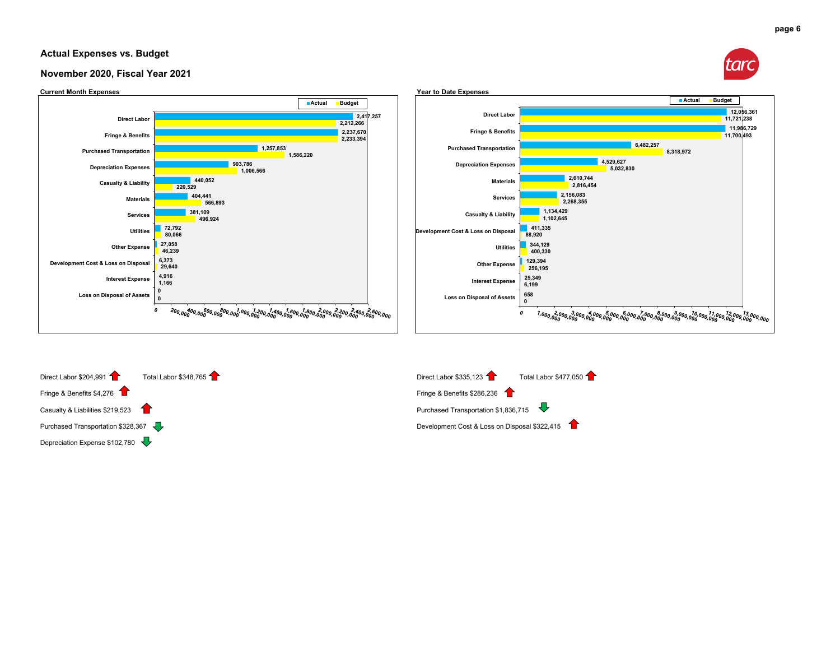#### **Actual Expenses vs. Budget**









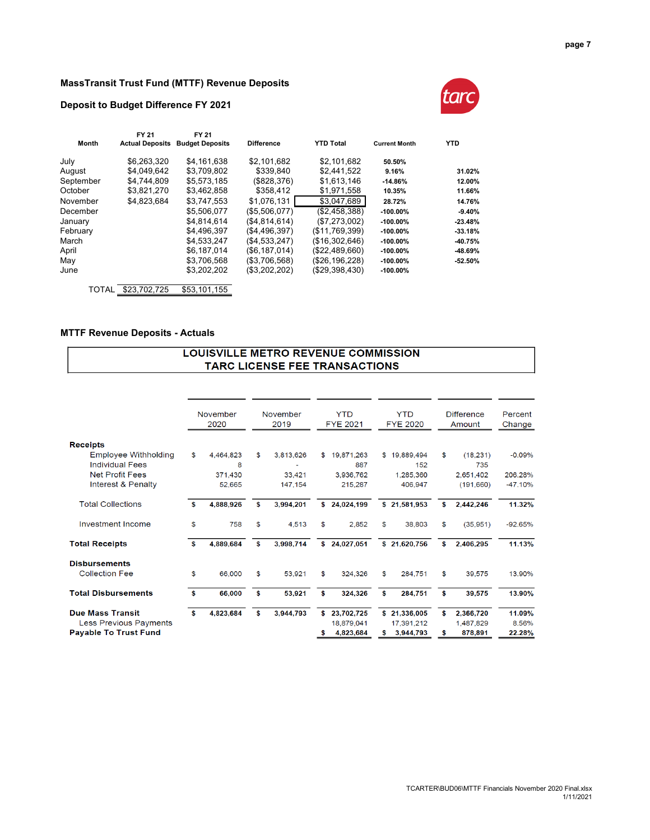#### **MassTransit Trust Fund (MTTF) Revenue Deposits**

#### **Deposit to Budget Difference FY 2021**



|           | FY 21                  | FY 21                  |                   |                  |                      |            |
|-----------|------------------------|------------------------|-------------------|------------------|----------------------|------------|
| Month     | <b>Actual Deposits</b> | <b>Budget Deposits</b> | <b>Difference</b> | <b>YTD Total</b> | <b>Current Month</b> | <b>YTD</b> |
| July      | \$6,263,320            | \$4,161,638            | \$2,101,682       | \$2,101,682      | 50.50%               |            |
| August    | \$4.049.642            | \$3.709.802            | \$339.840         | \$2.441.522      | 9.16%                | 31.02%     |
| September | \$4.744.809            | \$5,573,185            | (\$828,376)       | \$1.613.146      | $-14.86%$            | 12.00%     |
| October   | \$3,821,270            | \$3,462,858            | \$358,412         | \$1,971,558      | 10.35%               | 11.66%     |
| November  | \$4,823,684            | \$3,747,553            | \$1,076,131       | \$3,047,689      | 28.72%               | 14.76%     |
| December  |                        | \$5.506.077            | (S5.506.077)      | (S2.458.388)     | $-100.00\%$          | $-9.40%$   |
| January   |                        | \$4.814.614            | (S4.814.614)      | (\$7,273,002)    | $-100.00\%$          | $-23.48%$  |
| February  |                        | \$4,496,397            | (\$4,496,397)     | (\$11,769,399)   | $-100.00\%$          | $-33.18%$  |
| March     |                        | \$4,533,247            | (\$4,533,247)     | (\$16,302,646)   | $-100.00\%$          | $-40.75%$  |
| April     |                        | \$6.187.014            | (\$6,187,014)     | (\$22,489,660)   | $-100.00\%$          | $-48.69%$  |
| May       |                        | \$3,706,568            | (\$3,706,568)     | (\$26,196,228)   | $-100.00\%$          | $-52.50%$  |
| June      |                        | \$3,202,202            | (\$3,202,202)     | (\$29,398,430)   | $-100.00\%$          |            |
|           | TOTAL \$23,702,725     | \$53,101,155           |                   |                  |                      |            |

#### **MTTF Revenue Deposits - Actuals**

#### **LOUISVILLE METRO REVENUE COMMISSION** TARC LICENSE FEE TRANSACTIONS

|                                                       |    | November<br>2020 | November<br>2019 | <b>YTD</b><br><b>FYE 2021</b> | <b>YTD</b><br><b>FYE 2020</b> | <b>Difference</b><br>Amount | Percent<br>Change |
|-------------------------------------------------------|----|------------------|------------------|-------------------------------|-------------------------------|-----------------------------|-------------------|
| <b>Receipts</b>                                       |    |                  |                  |                               |                               |                             |                   |
| <b>Employee Withholding</b><br><b>Individual Fees</b> | \$ | 4,464,823<br>8   | \$<br>3,813,626  | \$<br>19,871,263<br>887       | \$19,889,494<br>152           | \$<br>(18, 231)<br>735      | $-0.09%$          |
| <b>Net Profit Fees</b>                                |    | 371,430          | 33,421           | 3.936.762                     | 1,285,360                     | 2,651,402                   | 206.28%           |
| Interest & Penalty                                    |    | 52,665           | 147,154          | 215,287                       | 406.947                       | (191,660)                   | $-47.10%$         |
| <b>Total Collections</b>                              | s  | 4,888,926        | \$<br>3,994,201  | \$<br>24,024,199              | \$21,581,953                  | \$<br>2,442,246             | 11.32%            |
| Investment Income                                     | \$ | 758              | \$<br>4,513      | \$<br>2,852                   | \$<br>38,803                  | \$<br>(35,951)              | $-92.65%$         |
| <b>Total Receipts</b>                                 | S  | 4,889,684        | \$<br>3.998.714  | \$<br>24,027,051              | \$21,620,756                  | \$<br>2.406.295             | 11.13%            |
| <b>Disbursements</b>                                  |    |                  |                  |                               |                               |                             |                   |
| <b>Collection Fee</b>                                 | \$ | 66,000           | \$<br>53,921     | \$<br>324,326                 | \$<br>284,751                 | \$<br>39,575                | 13.90%            |
| <b>Total Disbursements</b>                            | \$ | 66,000           | \$<br>53,921     | \$<br>324,326                 | \$<br>284,751                 | \$<br>39,575                | 13.90%            |
| <b>Due Mass Transit</b>                               | \$ | 4,823,684        | \$<br>3,944,793  | \$<br>23,702,725              | \$21,336,005                  | \$<br>2,366,720             | 11.09%            |
| Less Previous Payments                                |    |                  |                  | 18.879.041                    | 17.391.212                    | 1,487,829                   | 8.56%             |
| <b>Payable To Trust Fund</b>                          |    |                  |                  | \$<br>4,823,684               | \$<br>3,944,793               | \$<br>878,891               | 22.28%            |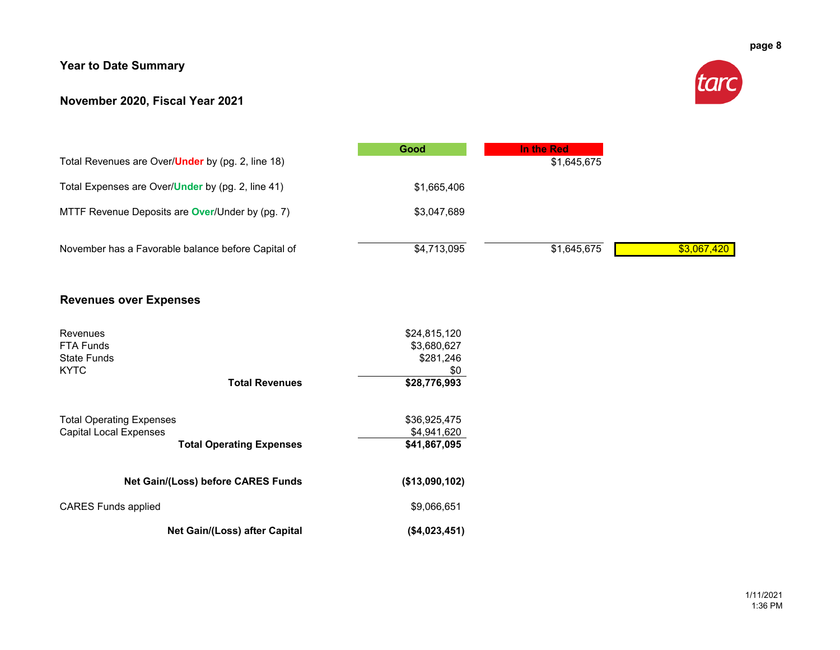# **Year to Date Summary**

### **November 2020, Fiscal Year 2021**



| Total Revenues are Over/ <b>Under</b> by (pg. 2, line 18) | Good        | In the Red<br>\$1,645,675 |             |
|-----------------------------------------------------------|-------------|---------------------------|-------------|
| Total Expenses are Over/ <b>Under</b> by (pg. 2, line 41) | \$1,665,406 |                           |             |
| MTTF Revenue Deposits are <b>Over/Under by (pg. 7)</b>    | \$3,047,689 |                           |             |
| November has a Favorable balance before Capital of        | \$4,713,095 | \$1,645,675               | \$3,067,420 |

## **Revenues over Expenses**

| Revenues<br><b>FTA Funds</b><br>State Funds<br><b>KYTC</b> | \$24,815,120<br>\$3,680,627<br>\$281,246<br>\$0 |
|------------------------------------------------------------|-------------------------------------------------|
| <b>Total Revenues</b>                                      | \$28,776,993                                    |
|                                                            |                                                 |
| <b>Total Operating Expenses</b>                            | \$36,925,475                                    |
| <b>Capital Local Expenses</b>                              | \$4,941,620                                     |
| <b>Total Operating Expenses</b>                            | \$41,867,095                                    |
| <b>Net Gain/(Loss) before CARES Funds</b>                  | (\$13,090,102)                                  |
| <b>CARES Funds applied</b>                                 | \$9,066,651                                     |
| Net Gain/(Loss) after Capital                              | (S4.023.451)                                    |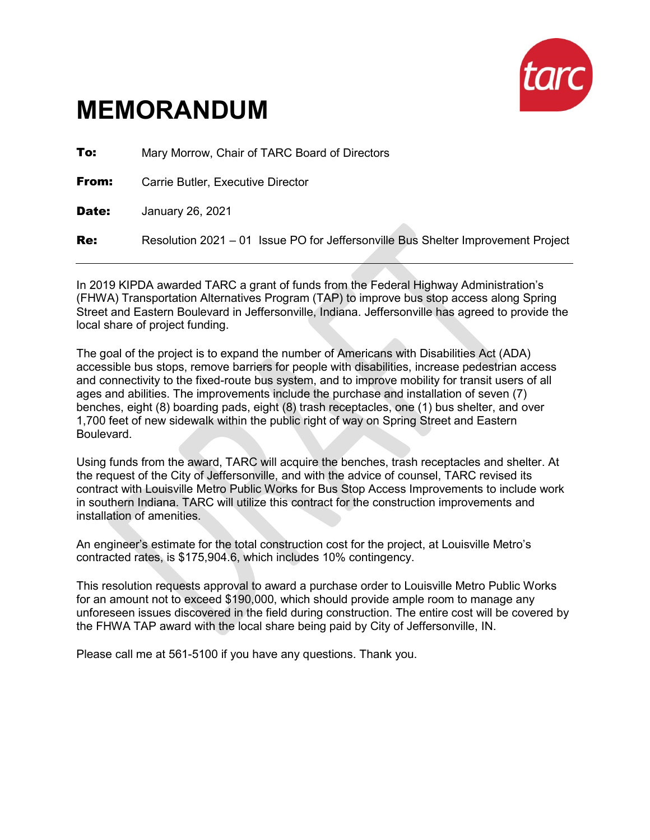

# **MEMORANDUM**

**To:** Mary Morrow, Chair of TARC Board of Directors **From:** Carrie Butler, Executive Director Date: January 26, 2021 **Re:** Resolution 2021 – 01 Issue PO for Jeffersonville Bus Shelter Improvement Project

In 2019 KIPDA awarded TARC a grant of funds from the Federal Highway Administration's (FHWA) Transportation Alternatives Program (TAP) to improve bus stop access along Spring Street and Eastern Boulevard in Jeffersonville, Indiana. Jeffersonville has agreed to provide the local share of project funding.

The goal of the project is to expand the number of Americans with Disabilities Act (ADA) accessible bus stops, remove barriers for people with disabilities, increase pedestrian access and connectivity to the fixed-route bus system, and to improve mobility for transit users of all ages and abilities. The improvements include the purchase and installation of seven (7) benches, eight (8) boarding pads, eight (8) trash receptacles, one (1) bus shelter, and over 1,700 feet of new sidewalk within the public right of way on Spring Street and Eastern Boulevard.

Using funds from the award, TARC will acquire the benches, trash receptacles and shelter. At the request of the City of Jeffersonville, and with the advice of counsel, TARC revised its contract with Louisville Metro Public Works for Bus Stop Access Improvements to include work in southern Indiana. TARC will utilize this contract for the construction improvements and installation of amenities.

An engineer's estimate for the total construction cost for the project, at Louisville Metro's contracted rates, is \$175,904.6, which includes 10% contingency.

This resolution requests approval to award a purchase order to Louisville Metro Public Works for an amount not to exceed \$190,000, which should provide ample room to manage any unforeseen issues discovered in the field during construction. The entire cost will be covered by the FHWA TAP award with the local share being paid by City of Jeffersonville, IN.

Please call me at 561-5100 if you have any questions. Thank you.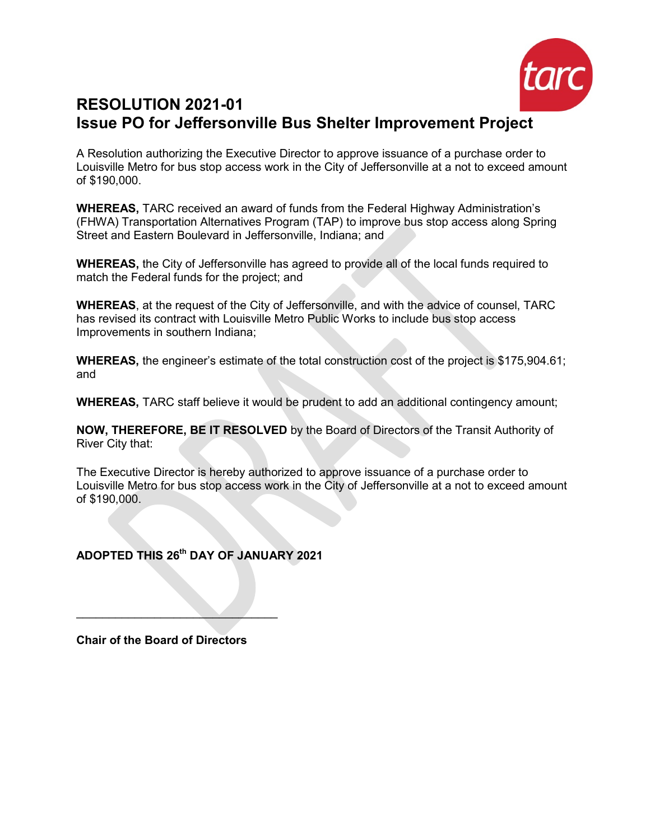

# **RESOLUTION 2021-01 Issue PO for Jeffersonville Bus Shelter Improvement Project**

A Resolution authorizing the Executive Director to approve issuance of a purchase order to Louisville Metro for bus stop access work in the City of Jeffersonville at a not to exceed amount of \$190,000.

**WHEREAS,** TARC received an award of funds from the Federal Highway Administration's (FHWA) Transportation Alternatives Program (TAP) to improve bus stop access along Spring Street and Eastern Boulevard in Jeffersonville, Indiana; and

**WHEREAS,** the City of Jeffersonville has agreed to provide all of the local funds required to match the Federal funds for the project; and

**WHEREAS**, at the request of the City of Jeffersonville, and with the advice of counsel, TARC has revised its contract with Louisville Metro Public Works to include bus stop access Improvements in southern Indiana;

**WHEREAS,** the engineer's estimate of the total construction cost of the project is \$175,904.61; and

**WHEREAS,** TARC staff believe it would be prudent to add an additional contingency amount;

**NOW, THEREFORE, BE IT RESOLVED** by the Board of Directors of the Transit Authority of River City that:

The Executive Director is hereby authorized to approve issuance of a purchase order to Louisville Metro for bus stop access work in the City of Jeffersonville at a not to exceed amount of \$190,000.

# **ADOPTED THIS 26th DAY OF JANUARY 2021**

**Chair of the Board of Directors**

 $\mathcal{L}=\mathcal{L}^{\mathcal{L}}$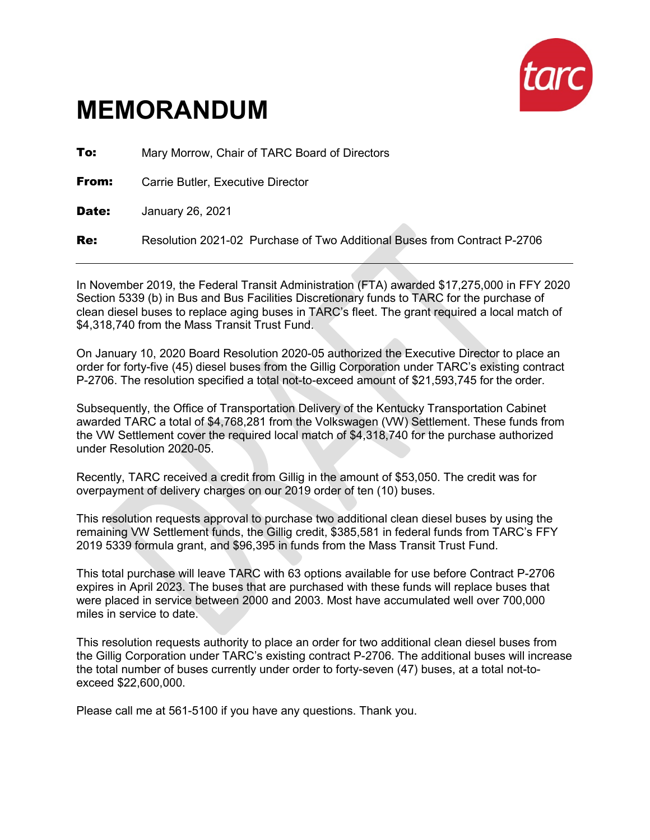

# **MEMORANDUM**

**To:** Mary Morrow, Chair of TARC Board of Directors

**From:** Carrie Butler, Executive Director

Date: January 26, 2021

Re: Resolution 2021-02 Purchase of Two Additional Buses from Contract P-2706

In November 2019, the Federal Transit Administration (FTA) awarded \$17,275,000 in FFY 2020 Section 5339 (b) in Bus and Bus Facilities Discretionary funds to TARC for the purchase of clean diesel buses to replace aging buses in TARC's fleet. The grant required a local match of \$4,318,740 from the Mass Transit Trust Fund.

On January 10, 2020 Board Resolution 2020-05 authorized the Executive Director to place an order for forty-five (45) diesel buses from the Gillig Corporation under TARC's existing contract P-2706. The resolution specified a total not-to-exceed amount of \$21,593,745 for the order.

Subsequently, the Office of Transportation Delivery of the Kentucky Transportation Cabinet awarded TARC a total of \$4,768,281 from the Volkswagen (VW) Settlement. These funds from the VW Settlement cover the required local match of \$4,318,740 for the purchase authorized under Resolution 2020-05.

Recently, TARC received a credit from Gillig in the amount of \$53,050. The credit was for overpayment of delivery charges on our 2019 order of ten (10) buses.

This resolution requests approval to purchase two additional clean diesel buses by using the remaining VW Settlement funds, the Gillig credit, \$385,581 in federal funds from TARC's FFY 2019 5339 formula grant, and \$96,395 in funds from the Mass Transit Trust Fund.

This total purchase will leave TARC with 63 options available for use before Contract P-2706 expires in April 2023. The buses that are purchased with these funds will replace buses that were placed in service between 2000 and 2003. Most have accumulated well over 700,000 miles in service to date.

This resolution requests authority to place an order for two additional clean diesel buses from the Gillig Corporation under TARC's existing contract P-2706. The additional buses will increase the total number of buses currently under order to forty-seven (47) buses, at a total not-toexceed \$22,600,000.

Please call me at 561-5100 if you have any questions. Thank you.